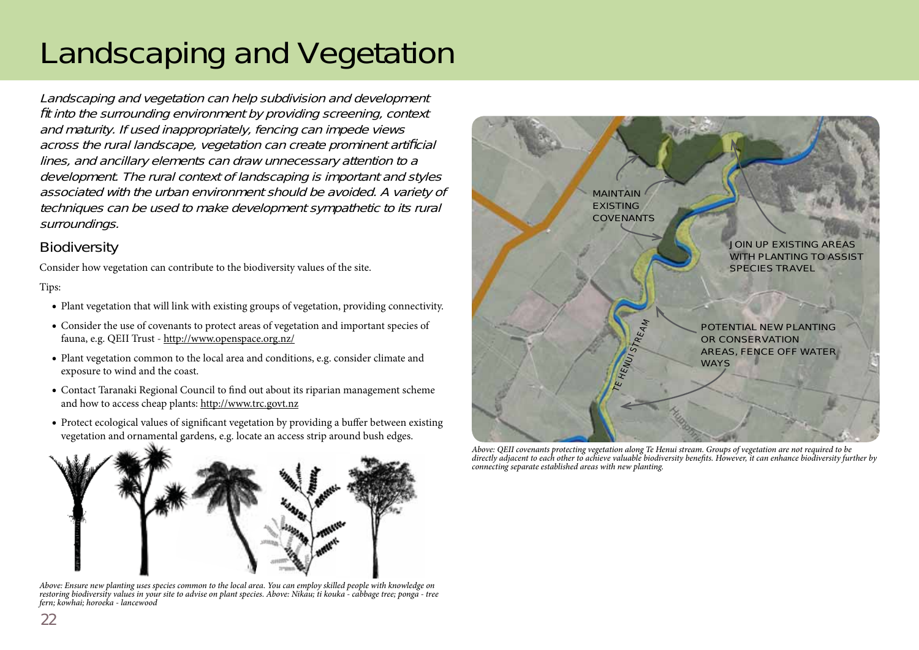# Landscaping and Vegetation

Landscaping and vegetation can help subdivision and development fit into the surrounding environment by providing screening, context and maturity. If used inappropriately, fencing can impede views across the rural landscape, vegetation can create prominent artificial lines, and ancillary elements can draw unnecessary attention to a development. The rural context of landscaping is important and styles associated with the urban environment should be avoided. A variety of techniques can be used to make development sympathetic to its rural surroundings.

## **Biodiversity**

Consider how vegetation can contribute to the biodiversity values of the site.

#### Tips:

- Plant vegetation that will link with existing groups of vegetation, providing connectivity.
- Consider the use of covenants to protect areas of vegetation and important species of fauna, e.g. QEII Trust - http://www.openspace.org.nz/
- Plant vegetation common to the local area and conditions, e.g. consider climate and exposure to wind and the coast.
- Contact Taranaki Regional Council to find out about its riparian management scheme and how to access cheap plants: http://www.trc.govt.nz
- Protect ecological values of significant vegetation by providing a buffer between existing vegetation and ornamental gardens, e.g. locate an access strip around bush edges. g



*Above: Ensure new planting uses species common to the local area. You can employ skilled people with knowledge on restoring biodiversity values in your site to advise on plant species. Above: Nikau; ti kouka - cabbage tree; ponga - tree fern; kowhai; horoeka - lancewood*



*Above: QEII covenants protecting vegetation along Te Henui stream. Groups of vegetation are not required to be*  directly adjacent to each other to achieve valuable biodiversity benefits. However, it can enhance biodiversity further by *connecting separate established areas with new planting.*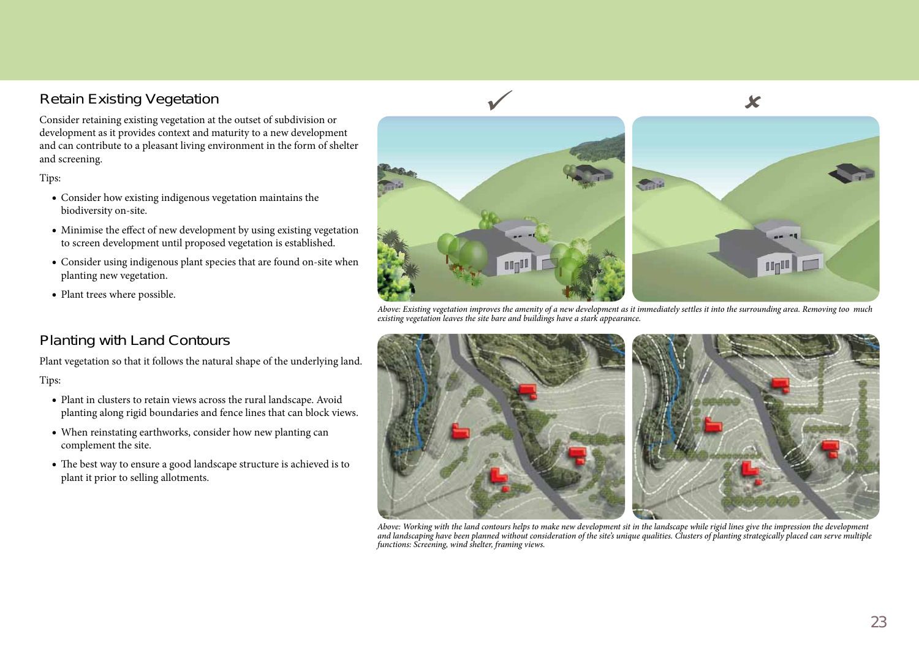## Retain Existing Vegetation

Consider retaining existing vegetation at the outset of subdivision or development as it provides context and maturity to a new development and can contribute to a pleasant living environment in the form of shelter and screening.

#### Tips:

- Consider how existing indigenous vegetation maintains the biodiversity on-site.
- Minimise the effect of new development by using existing vegetation to screen development until proposed vegetation is established.
- Consider using indigenous plant species that are found on-site when planting new vegetation.
- Plant trees where possible.



*Above: Existing vegetation improves the amenity of a new development as it immediately settles it into the surrounding area. Removing too much existing vegetation leaves the site bare and buildings have a stark appearance.*

## Planting with Land Contours

Plant vegetation so that it follows the natural shape of the underlying land. Tips:

- Plant in clusters to retain views across the rural landscape. Avoid planting along rigid boundaries and fence lines that can block views.
- When reinstating earthworks, consider how new planting can complement the site.
- The best way to ensure a good landscape structure is achieved is to plant it prior to selling allotments.



Above: Working with the land contours helps to make new development sit in the landscape while rigid lines give the impression the development<br>and landscaping have been planned without consideration of the site's unique qu *functions: Screening, wind shelter, framing views.*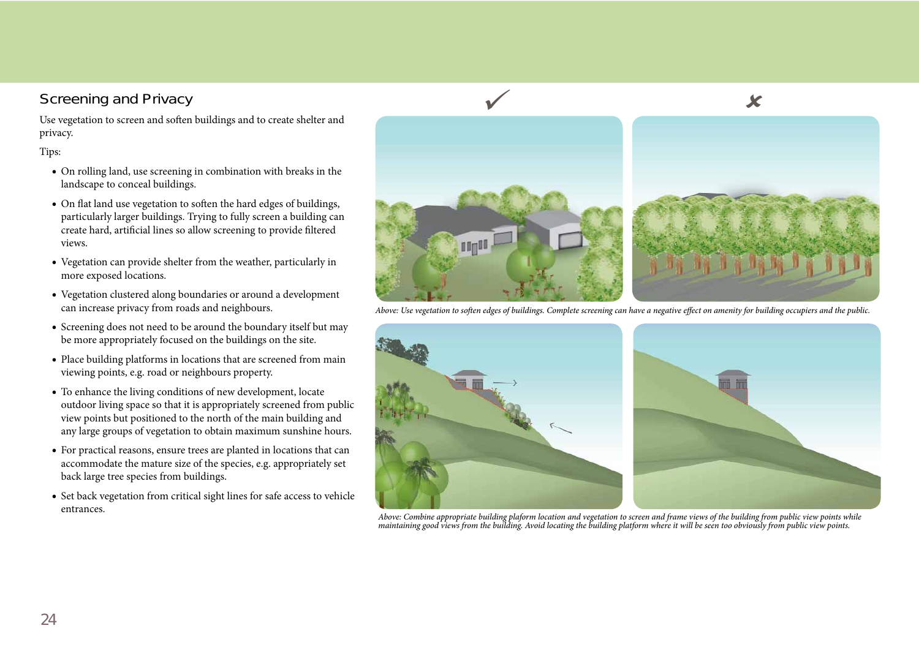#### Screening and Privacy

Use vegetation to screen and soften buildings and to create shelter and privacy.

#### Tips:

- On rolling land, use screening in combination with breaks in the landscape to conceal buildings.
- On flat land use vegetation to soften the hard edges of buildings, particularly larger buildings. Trying to fully screen a building can create hard, artificial lines so allow screening to provide filtered views.
- Vegetation can provide shelter from the weather, particularly in more exposed locations.
- Vegetation clustered along boundaries or around a development can increase privacy from roads and neighbours.
- Screening does not need to be around the boundary itself but may be more appropriately focused on the buildings on the site.
- Place building platforms in locations that are screened from main viewing points, e.g. road or neighbours property.
- To enhance the living conditions of new development, locate outdoor living space so that it is appropriately screened from public view points but positioned to the north of the main building and any large groups of vegetation to obtain maximum sunshine hours.
- For practical reasons, ensure trees are planted in locations that can accommodate the mature size of the species, e.g. appropriately set back large tree species from buildings.
- Set back vegetation from critical sight lines for safe access to vehicle entrances.



 $\checkmark$ 

**und** 

Above: Use vegetation to soften edges of buildings. Complete screening can have a negative effect on amenity for building occupiers and the public.



*Above: Combine appropriate building plaform location and vegetation to screen and frame views of the building from public view points while maintaining good views from the building. Avoid locating the building platform where it will be seen too obviously from public view points.* 

 $\sqrt{ }$